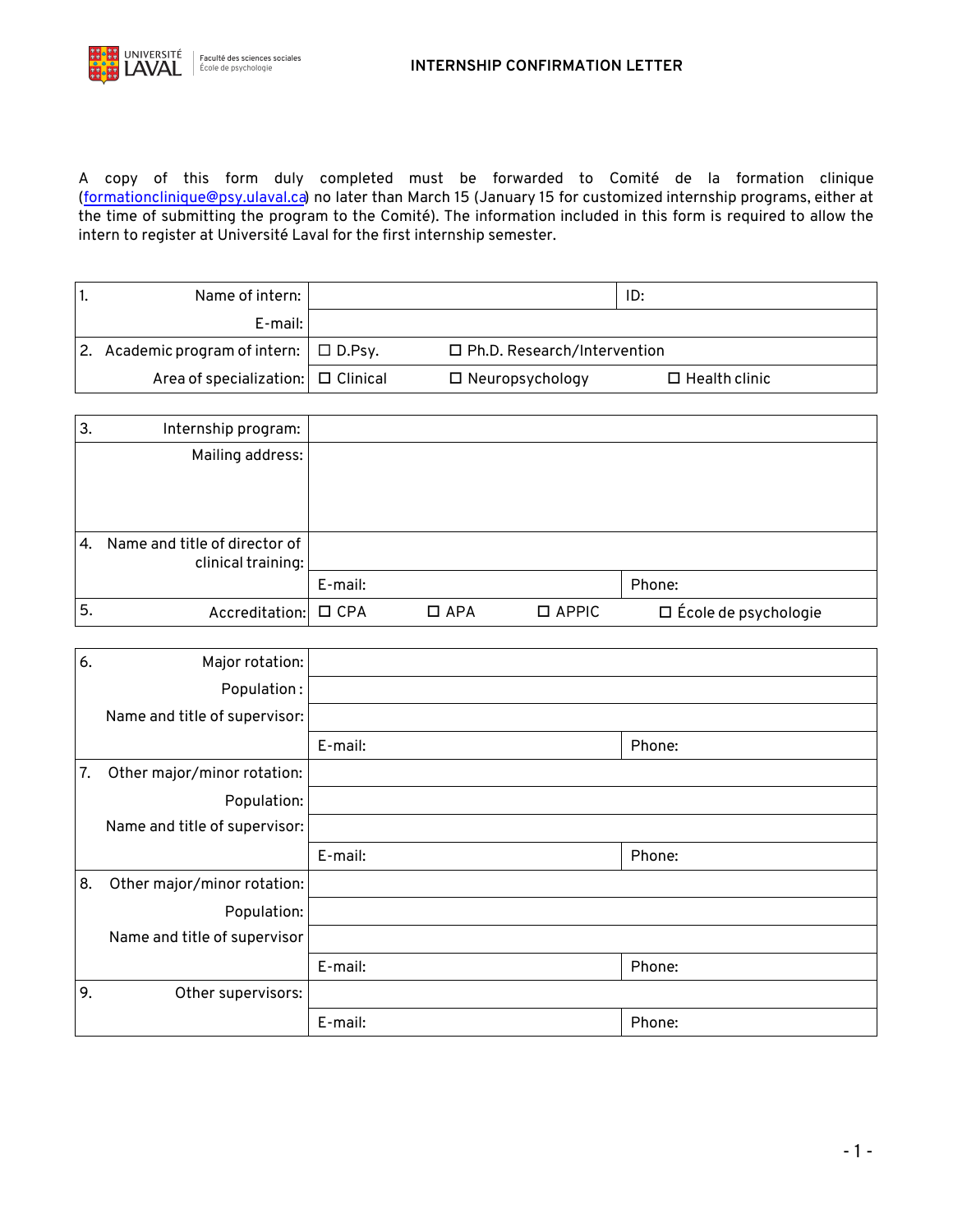

A copy of this form duly completed must be forwarded to Comité de la formation clinique [\(formationclinique@psy.ulaval.ca\)](mailto:formationclinique@psy.ulaval.ca) no later than March 15 (January 15 for customized internship programs, either at the time of submitting the program to the Comité). The information included in this form is required to allow the intern to register at Université Laval for the first internship semester.

| Name of intern: I                            |                               | ID:                  |  |
|----------------------------------------------|-------------------------------|----------------------|--|
| E-mail:                                      |                               |                      |  |
| 2. Academic program of intern: $\Box$ D.Psy. | □ Ph.D. Research/Intervention |                      |  |
| Area of specialization: $\Box$ Clinical      | $\Box$ Neuropsychology        | $\Box$ Health clinic |  |

| 3. | Internship program:                                 |         |            |              |                             |
|----|-----------------------------------------------------|---------|------------|--------------|-----------------------------|
|    | Mailing address:                                    |         |            |              |                             |
|    |                                                     |         |            |              |                             |
|    |                                                     |         |            |              |                             |
|    |                                                     |         |            |              |                             |
| 4. | Name and title of director of<br>clinical training: |         |            |              |                             |
|    |                                                     | E-mail: |            |              | Phone:                      |
| 5. | Accreditation: □ CPA                                |         | $\Box$ APA | $\Box$ APPIC | $\Box$ École de psychologie |

| 6. | Major rotation:               |         |        |
|----|-------------------------------|---------|--------|
|    | Population:                   |         |        |
|    | Name and title of supervisor: |         |        |
|    |                               | E-mail: | Phone: |
| 7. | Other major/minor rotation:   |         |        |
|    | Population:                   |         |        |
|    | Name and title of supervisor: |         |        |
|    |                               | E-mail: | Phone: |
| 8. | Other major/minor rotation:   |         |        |
|    | Population:                   |         |        |
|    | Name and title of supervisor  |         |        |
|    |                               | E-mail: | Phone: |
| 9. | Other supervisors:            |         |        |
|    |                               | E-mail: | Phone: |